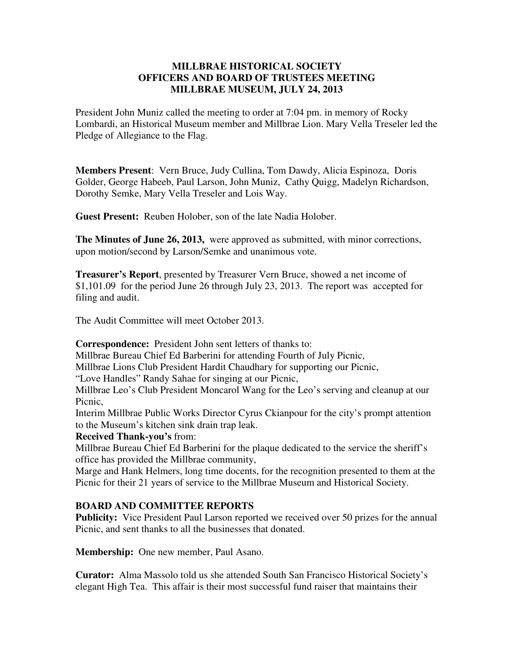## **MILLBRAE HISTORICAL SOCIETY OFFICERS AND BOARD OF TRUSTEES MEETING MILLBRAE MUSEUM, JULY 24, 2013**

President John Muniz called the meeting to order at 7:04 pm. in memory of Rocky Lombardi, an Historical Museum member and Millbrae Lion. Mary Vella Treseler led the Pledge of Allegiance to the Flag.

**Members Present**: Vern Bruce, Judy Cullina, Tom Dawdy, Alicia Espinoza, Doris Golder, George Habeeb, Paul Larson, John Muniz, Cathy Quigg, Madelyn Richardson, Dorothy Semke, Mary Vella Treseler and Lois Way.

**Guest Present:** Reuben Holober, son of the late Nadia Holober.

**The Minutes of June 26, 2013,** were approved as submitted, with minor corrections, upon motion/second by Larson/Semke and unanimous vote.

**Treasurer's Report**, presented by Treasurer Vern Bruce, showed a net income of \$1,101.09 for the period June 26 through July 23, 2013. The report was accepted for filing and audit.

The Audit Committee will meet October 2013.

**Correspondence:** President John sent letters of thanks to:

Millbrae Bureau Chief Ed Barberini for attending Fourth of July Picnic,

Millbrae Lions Club President Hardit Chaudhary for supporting our Picnic,

"Love Handles" Randy Sahae for singing at our Picnic,

Millbrae Leo's Club President Moncarol Wang for the Leo's serving and cleanup at our Picnic,

Interim Millbrae Public Works Director Cyrus Ckianpour for the city's prompt attention to the Museum's kitchen sink drain trap leak.

**Received Thank-you's** from:

Millbrae Bureau Chief Ed Barberini for the plaque dedicated to the service the sheriff's office has provided the Millbrae community,

Marge and Hank Helmers, long time docents, for the recognition presented to them at the Picnic for their 21 years of service to the Millbrae Museum and Historical Society.

## **BOARD AND COMMITTEE REPORTS**

Publicity: Vice President Paul Larson reported we received over 50 prizes for the annual Picnic, and sent thanks to all the businesses that donated.

**Membership:** One new member, Paul Asano.

**Curator:** Alma Massolo told us she attended South San Francisco Historical Society's elegant High Tea. This affair is their most successful fund raiser that maintains their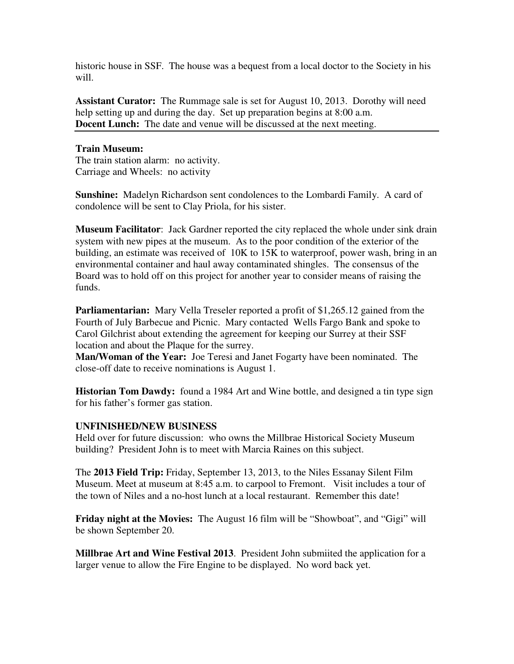historic house in SSF. The house was a bequest from a local doctor to the Society in his will.

**Assistant Curator:** The Rummage sale is set for August 10, 2013. Dorothy will need help setting up and during the day. Set up preparation begins at 8:00 a.m. **Docent Lunch:** The date and venue will be discussed at the next meeting.

## **Train Museum:**

The train station alarm: no activity. Carriage and Wheels: no activity

**Sunshine:** Madelyn Richardson sent condolences to the Lombardi Family. A card of condolence will be sent to Clay Priola, for his sister.

**Museum Facilitator**: Jack Gardner reported the city replaced the whole under sink drain system with new pipes at the museum. As to the poor condition of the exterior of the building, an estimate was received of 10K to 15K to waterproof, power wash, bring in an environmental container and haul away contaminated shingles. The consensus of the Board was to hold off on this project for another year to consider means of raising the funds.

**Parliamentarian:** Mary Vella Treseler reported a profit of \$1,265.12 gained from the Fourth of July Barbecue and Picnic. Mary contacted Wells Fargo Bank and spoke to Carol Gilchrist about extending the agreement for keeping our Surrey at their SSF location and about the Plaque for the surrey.

**Man/Woman of the Year:** Joe Teresi and Janet Fogarty have been nominated. The close-off date to receive nominations is August 1.

**Historian Tom Dawdy:** found a 1984 Art and Wine bottle, and designed a tin type sign for his father's former gas station.

## **UNFINISHED/NEW BUSINESS**

Held over for future discussion: who owns the Millbrae Historical Society Museum building? President John is to meet with Marcia Raines on this subject.

The **2013 Field Trip:** Friday, September 13, 2013, to the Niles Essanay Silent Film Museum. Meet at museum at 8:45 a.m. to carpool to Fremont. Visit includes a tour of the town of Niles and a no-host lunch at a local restaurant. Remember this date!

**Friday night at the Movies:** The August 16 film will be "Showboat", and "Gigi" will be shown September 20.

**Millbrae Art and Wine Festival 2013**. President John submiited the application for a larger venue to allow the Fire Engine to be displayed. No word back yet.